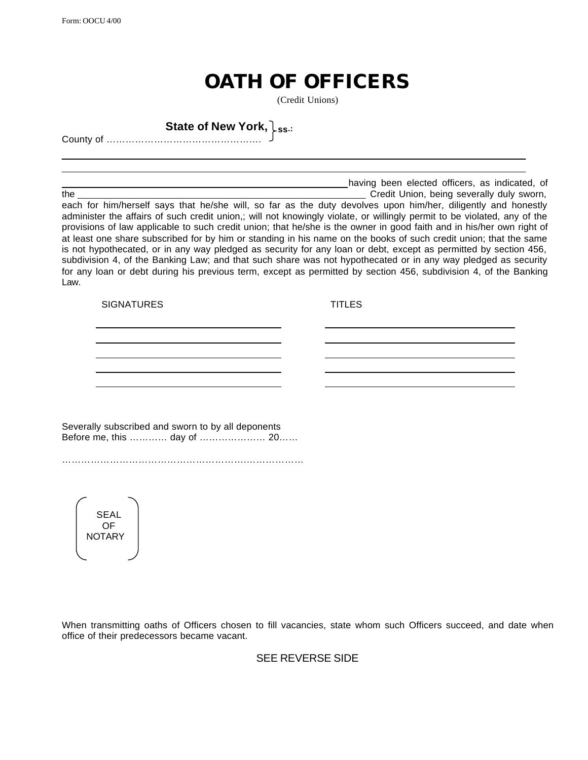## **OATH OF OFFICERS**

(Credit Unions)

**State of New York, ss.:**

County of ………………………………………….

**having been elected officers, as indicated, of** having been elected officers, as indicated, of

the Credit Union, being severally duly sworn, each for him/herself says that he/she will, so far as the duty devolves upon him/her, diligently and honestly administer the affairs of such credit union,; will not knowingly violate, or willingly permit to be violated, any of the provisions of law applicable to such credit union; that he/she is the owner in good faith and in his/her own right of at least one share subscribed for by him or standing in his name on the books of such credit union; that the same is not hypothecated, or in any way pledged as security for any loan or debt, except as permitted by section 456, subdivision 4, of the Banking Law; and that such share was not hypothecated or in any way pledged as security for any loan or debt during his previous term, except as permitted by section 456, subdivision 4, of the Banking Law.

SIGNATURES TITLES

Severally subscribed and sworn to by all deponents Before me, this ………… day of ………………… 20……

………………………………………………….………………

SEAL OF **NOTARY** 

When transmitting oaths of Officers chosen to fill vacancies, state whom such Officers succeed, and date when office of their predecessors became vacant.

SEE REVERSE SIDE